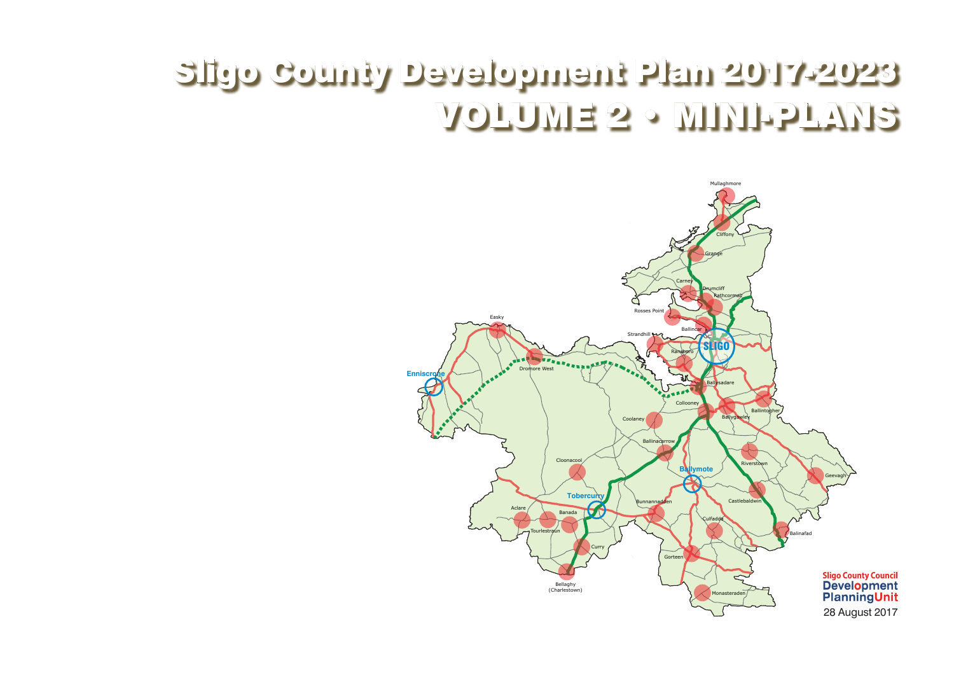



# Sligo County Development Plan 2017-2023 VOLUME 2 • MINI-PLANS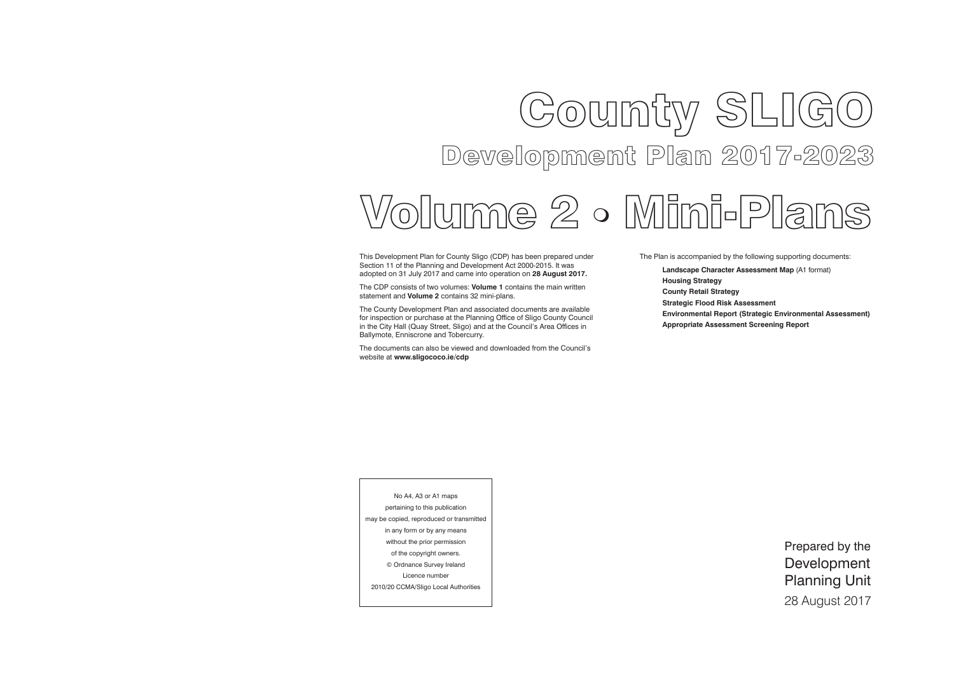# Gounty SLIGO Development Plan 2017-2023

This Development Plan for County Sligo (CDP) has been prepared under Section 11 of the Planning and Development Act 2000-2015. It was adopted on 31 July 2017 and came into operation on **28 August 2017.**

The CDP consists of two volumes: **Volume 1** contains the main written statement and **Volume 2** contains 32 mini-plans.

The County Development Plan and associated documents are available for inspection or purchase at the Planning Office of Sligo County Council in the City Hall (Quay Street, Sligo) and at the Council's Area Offices in Ballymote, Enniscrone and Tobercurry.

The documents can also be viewed and downloaded from the Council's website at **www.sligococo.ie/cdp**

Prepared by the Development Planning Unit 28 August 2017

# Volume 2 Mini-Plans

No A4, A3 or A1 maps pertaining to this publication may be copied, reproduced or transmitted in any form or by any means without the prior permission of the copyright owners. © Ordnance Survey Ireland Licence number 2010/20 CCMA/Sligo Local Authorities





The Plan is accompanied by the following supporting documents:

**Landscape Character Assessment Map** (A1 format)

**Housing Strategy County Retail Strategy Strategic Flood Risk Assessment** 

- 
- 
- 
- **Environmental Report (Strategic Environmental Assessment)**

**Appropriate Assessment Screening Report**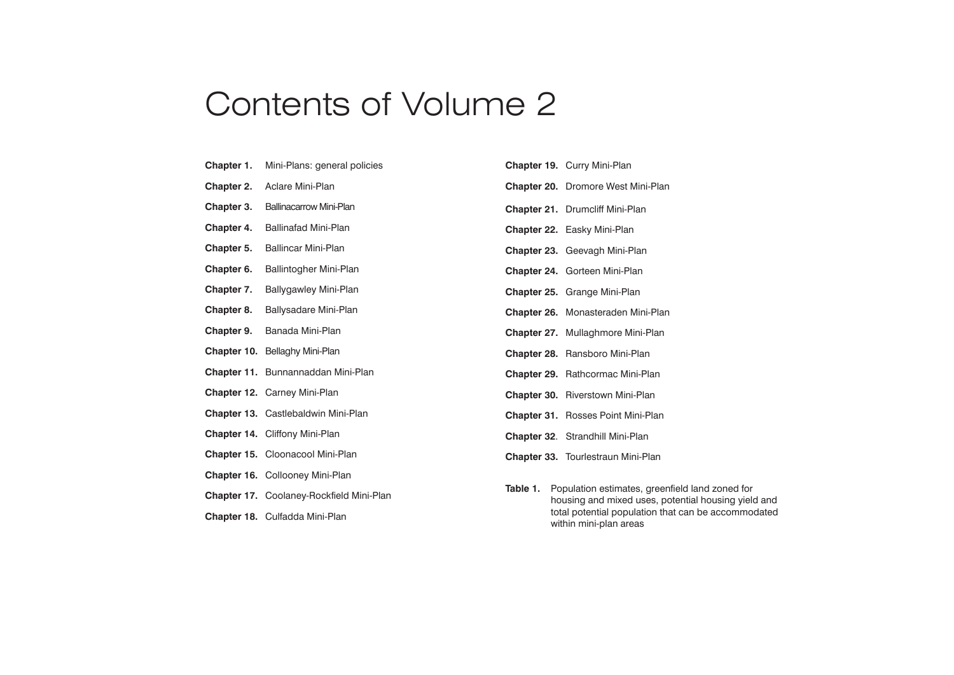| Chapter 1.        | Mini-Plans: general policies             |
|-------------------|------------------------------------------|
| Chapter 2.        | <b>Aclare Mini-Plan</b>                  |
| Chapter 3.        | <b>Ballinacarrow Mini-Plan</b>           |
| <b>Chapter 4.</b> | <b>Ballinafad Mini-Plan</b>              |
| Chapter 5.        | <b>Ballincar Mini-Plan</b>               |
| Chapter 6.        | <b>Ballintogher Mini-Plan</b>            |
| Chapter 7.        | <b>Ballygawley Mini-Plan</b>             |
| Chapter 8.        | <b>Ballysadare Mini-Plan</b>             |
| Chapter 9.        | Banada Mini-Plan                         |
|                   | <b>Chapter 10. Bellaghy Mini-Plan</b>    |
|                   | Chapter 11. Bunnannaddan Mini-Plan       |
|                   | <b>Chapter 12. Carney Mini-Plan</b>      |
|                   | Chapter 13. Castlebaldwin Mini-Plan      |
|                   | Chapter 14. Cliffony Mini-Plan           |
|                   | <b>Chapter 15. Cloonacool Mini-Plan</b>  |
|                   | <b>Chapter 16. Collooney Mini-Plan</b>   |
|                   | Chapter 17. Coolaney-Rockfield Mini-Plan |
|                   | Chapter 18. Culfadda Mini-Plan           |

**Table 1.** Population estimates, greenfield land zoned for housing and mixed uses, potential housing yield and total potential population that can be accommodated within mini-plan areas

|                    | Chapter 19. Curry Mini-Plan               |  |  |  |  |  |  |  |  |
|--------------------|-------------------------------------------|--|--|--|--|--|--|--|--|
|                    | <b>Chapter 20.</b> Dromore West Mini-Plan |  |  |  |  |  |  |  |  |
|                    | Chapter 21. Drumcliff Mini-Plan           |  |  |  |  |  |  |  |  |
|                    | <b>Chapter 22. Easky Mini-Plan</b>        |  |  |  |  |  |  |  |  |
|                    | <b>Chapter 23.</b> Geevagh Mini-Plan      |  |  |  |  |  |  |  |  |
|                    | <b>Chapter 24. Gorteen Mini-Plan</b>      |  |  |  |  |  |  |  |  |
| <b>Chapter 25.</b> | Grange Mini-Plan                          |  |  |  |  |  |  |  |  |
|                    | Chapter 26. Monasteraden Mini-Plan        |  |  |  |  |  |  |  |  |
| Chapter 27.        | Mullaghmore Mini-Plan                     |  |  |  |  |  |  |  |  |
| <b>Chapter 28.</b> | Ransboro Mini-Plan                        |  |  |  |  |  |  |  |  |
| <b>Chapter 29.</b> | Rathcormac Mini-Plan                      |  |  |  |  |  |  |  |  |
| <b>Chapter 30.</b> | <b>Riverstown Mini-Plan</b>               |  |  |  |  |  |  |  |  |
|                    | <b>Chapter 31. Rosses Point Mini-Plan</b> |  |  |  |  |  |  |  |  |
|                    | Chapter 32. Strandhill Mini-Plan          |  |  |  |  |  |  |  |  |
|                    | <b>Chapter 33. Tourlestraun Mini-Plan</b> |  |  |  |  |  |  |  |  |

# Contents of Volume 2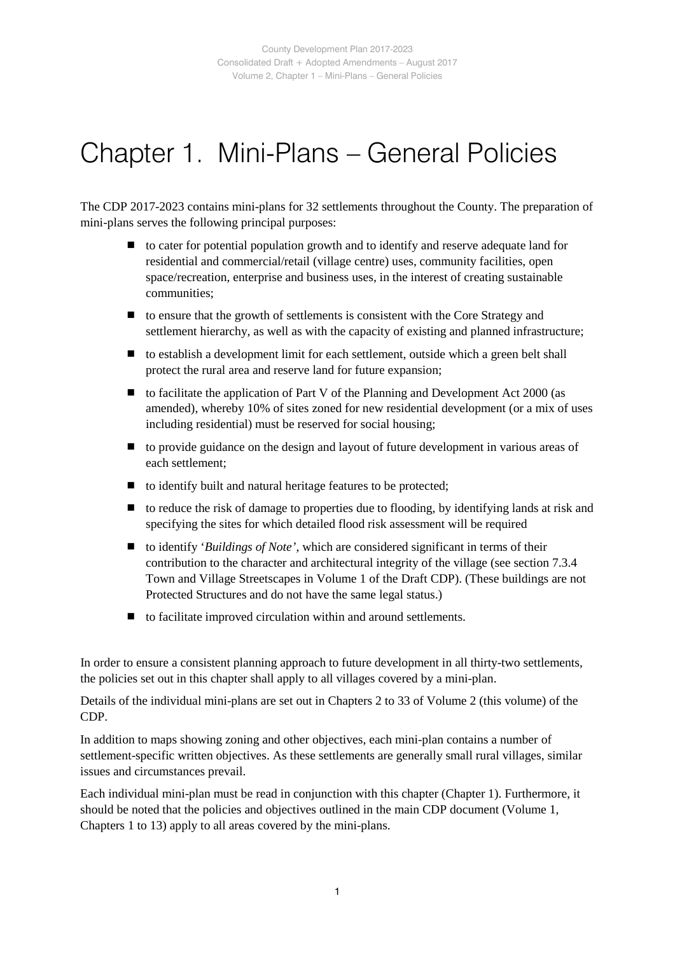# Chapter 1. Mini-Plans – General Policies

The CDP 2017-2023 contains mini-plans for 32 settlements throughout the County. The preparation of mini-plans serves the following principal purposes:

- $\blacksquare$  to cater for potential population growth and to identify and reserve adequate land for residential and commercial/retail (village centre) uses, community facilities, open space/recreation, enterprise and business uses, in the interest of creating sustainable communities;
- $\blacksquare$  to ensure that the growth of settlements is consistent with the Core Strategy and settlement hierarchy, as well as with the capacity of existing and planned infrastructure;
- $\blacksquare$  to establish a development limit for each settlement, outside which a green belt shall protect the rural area and reserve land for future expansion;
- $\blacksquare$  to facilitate the application of Part V of the Planning and Development Act 2000 (as amended), whereby 10% of sites zoned for new residential development (or a mix of uses including residential) must be reserved for social housing;
- to provide guidance on the design and layout of future development in various areas of each settlement;
- to identify built and natural heritage features to be protected;
- $\blacksquare$  to reduce the risk of damage to properties due to flooding, by identifying lands at risk and specifying the sites for which detailed flood risk assessment will be required
- to identify '*Buildings of Note'*, which are considered significant in terms of their contribution to the character and architectural integrity of the village (see section 7.3.4 Town and Village Streetscapes in Volume 1 of the Draft CDP). (These buildings are not Protected Structures and do not have the same legal status.)
- $\blacksquare$  to facilitate improved circulation within and around settlements.

In order to ensure a consistent planning approach to future development in all thirty-two settlements, the policies set out in this chapter shall apply to all villages covered by a mini-plan.

Details of the individual mini-plans are set out in Chapters 2 to 33 of Volume 2 (this volume) of the CDP.

In addition to maps showing zoning and other objectives, each mini-plan contains a number of settlement-specific written objectives. As these settlements are generally small rural villages, similar issues and circumstances prevail.

Each individual mini-plan must be read in conjunction with this chapter (Chapter 1). Furthermore, it should be noted that the policies and objectives outlined in the main CDP document (Volume 1, Chapters 1 to 13) apply to all areas covered by the mini-plans.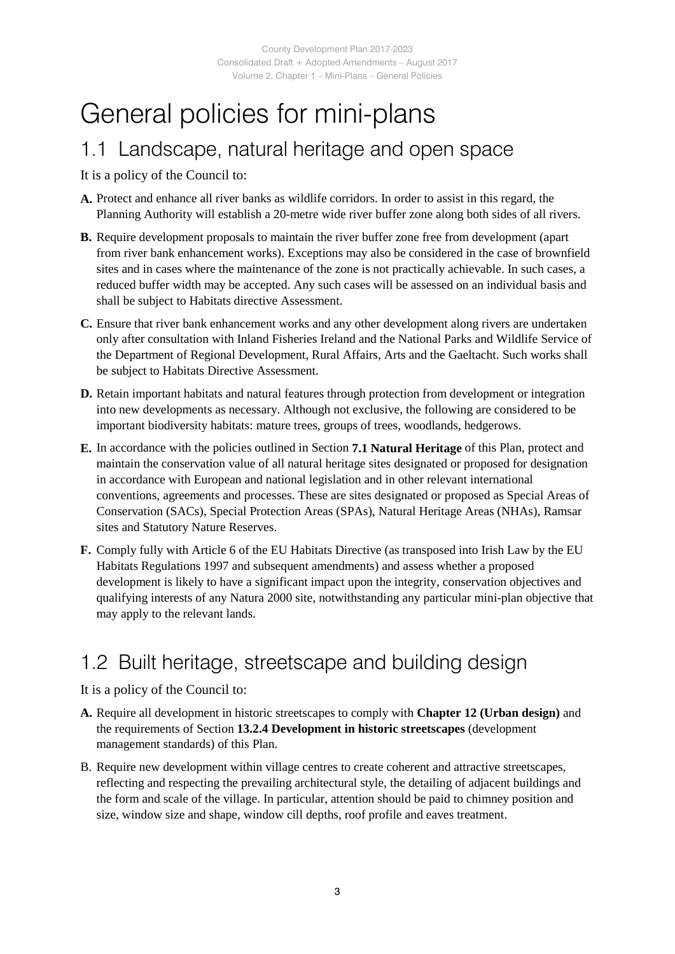# General policies for mini-plans

## 1.1 Landscape, natural heritage and open space

It is a policy of the Council to:

- **A.** Protect and enhance all river banks as wildlife corridors. In order to assist in this regard, the Planning Authority will establish a 20-metre wide river buffer zone along both sides of all rivers.
- **B.** Require development proposals to maintain the river buffer zone free from development (apart from river bank enhancement works). Exceptions may also be considered in the case of brownfield sites and in cases where the maintenance of the zone is not practically achievable. In such cases, a reduced buffer width may be accepted. Any such cases will be assessed on an individual basis and shall be subject to Habitats directive Assessment.
- **C.** Ensure that river bank enhancement works and any other development along rivers are undertaken only after consultation with Inland Fisheries Ireland and the National Parks and Wildlife Service of the Department of Regional Development, Rural Affairs, Arts and the Gaeltacht. Such works shall be subject to Habitats Directive Assessment.
- **D.** Retain important habitats and natural features through protection from development or integration into new developments as necessary. Although not exclusive, the following are considered to be important biodiversity habitats: mature trees, groups of trees, woodlands, hedgerows.
- **E.** In accordance with the policies outlined in Section **7.1 Natural Heritage** of this Plan, protect and maintain the conservation value of all natural heritage sites designated or proposed for designation in accordance with European and national legislation and in other relevant international conventions, agreements and processes. These are sites designated or proposed as Special Areas of Conservation (SACs), Special Protection Areas (SPAs), Natural Heritage Areas (NHAs), Ramsar sites and Statutory Nature Reserves.
- **F.** Comply fully with Article 6 of the EU Habitats Directive (as transposed into Irish Law by the EU Habitats Regulations 1997 and subsequent amendments) and assess whether a proposed development is likely to have a significant impact upon the integrity, conservation objectives and qualifying interests of any Natura 2000 site, notwithstanding any particular mini-plan objective that may apply to the relevant lands.

# 1.2 Built heritage, streetscape and building design

- **A.** Require all development in historic streetscapes to comply with **Chapter 12 (Urban design)** and the requirements of Section **13.2.4 Development in historic streetscapes** (development management standards) of this Plan.
- B. Require new development within village centres to create coherent and attractive streetscapes, reflecting and respecting the prevailing architectural style, the detailing of adjacent buildings and the form and scale of the village. In particular, attention should be paid to chimney position and size, window size and shape, window cill depths, roof profile and eaves treatment.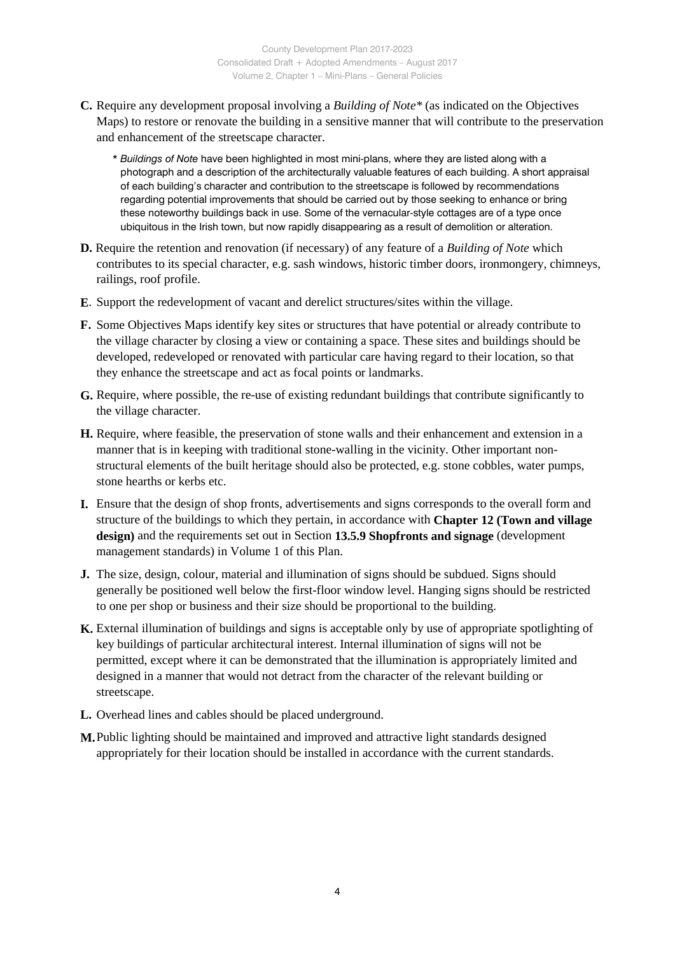**C.** Require any development proposal involving a *Building of Note\** (as indicated on the Objectives Maps) to restore or renovate the building in a sensitive manner that will contribute to the preservation and enhancement of the streetscape character.

\* *Buildings of Note* have been highlighted in most mini-plans, where they are listed along with a photograph and a description of the architecturally valuable features of each building. A short appraisal of each building's character and contribution to the streetscape is followed by recommendations regarding potential improvements that should be carried out by those seeking to enhance or bring these noteworthy buildings back in use. Some of the vernacular-style cottages are of a type once ubiquitous in the Irish town, but now rapidly disappearing as a result of demolition or alteration.

- **D.** Require the retention and renovation (if necessary) of any feature of a *Building of Note* which contributes to its special character, e.g. sash windows, historic timber doors, ironmongery, chimneys, railings, roof profile.
- **E**. Support the redevelopment of vacant and derelict structures/sites within the village.
- **F.** Some Objectives Maps identify key sites or structures that have potential or already contribute to the village character by closing a view or containing a space. These sites and buildings should be developed, redeveloped or renovated with particular care having regard to their location, so that they enhance the streetscape and act as focal points or landmarks.
- **G.** Require, where possible, the re-use of existing redundant buildings that contribute significantly to the village character.
- **H.** Require, where feasible, the preservation of stone walls and their enhancement and extension in a manner that is in keeping with traditional stone-walling in the vicinity. Other important nonstructural elements of the built heritage should also be protected, e.g. stone cobbles, water pumps, stone hearths or kerbs etc.
- **I.** Ensure that the design of shop fronts, advertisements and signs corresponds to the overall form and structure of the buildings to which they pertain, in accordance with **Chapter 12 (Town and village design)** and the requirements set out in Section **13.5.9 Shopfronts and signage** (development management standards) in Volume 1 of this Plan.
- **J.** The size, design, colour, material and illumination of signs should be subdued. Signs should generally be positioned well below the first-floor window level. Hanging signs should be restricted to one per shop or business and their size should be proportional to the building.
- **K.** External illumination of buildings and signs is acceptable only by use of appropriate spotlighting of key buildings of particular architectural interest. Internal illumination of signs will not be permitted, except where it can be demonstrated that the illumination is appropriately limited and designed in a manner that would not detract from the character of the relevant building or streetscape.
- **L.** Overhead lines and cables should be placed underground.
- **M.**Public lighting should be maintained and improved and attractive light standards designed appropriately for their location should be installed in accordance with the current standards.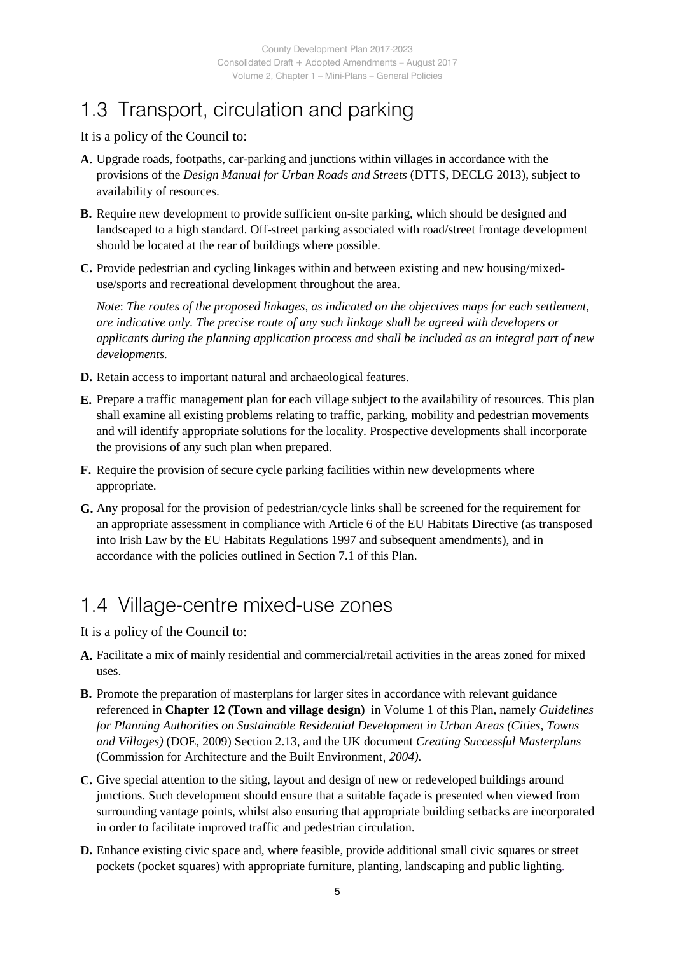# 1.3 Transport, circulation and parking

It is a policy of the Council to:

- **A.** Upgrade roads, footpaths, car-parking and junctions within villages in accordance with the provisions of the *Design Manual for Urban Roads and Streets* (DTTS, DECLG 2013), subject to availability of resources.
- **B.** Require new development to provide sufficient on-site parking, which should be designed and landscaped to a high standard. Off-street parking associated with road/street frontage development should be located at the rear of buildings where possible.
- **C.** Provide pedestrian and cycling linkages within and between existing and new housing/mixeduse/sports and recreational development throughout the area.

*Note*: *The routes of the proposed linkages, as indicated on the objectives maps for each settlement, are indicative only. The precise route of any such linkage shall be agreed with developers or applicants during the planning application process and shall be included as an integral part of new developments.*

- **D.** Retain access to important natural and archaeological features.
- **E.** Prepare a traffic management plan for each village subject to the availability of resources. This plan shall examine all existing problems relating to traffic, parking, mobility and pedestrian movements and will identify appropriate solutions for the locality. Prospective developments shall incorporate the provisions of any such plan when prepared.
- **F.** Require the provision of secure cycle parking facilities within new developments where appropriate.
- **G.** Any proposal for the provision of pedestrian/cycle links shall be screened for the requirement for an appropriate assessment in compliance with Article 6 of the EU Habitats Directive (as transposed into Irish Law by the EU Habitats Regulations 1997 and subsequent amendments), and in accordance with the policies outlined in Section 7.1 of this Plan.

## 1.4 Village-centre mixed-use zones

- **A.** Facilitate a mix of mainly residential and commercial/retail activities in the areas zoned for mixed uses.
- **B.** Promote the preparation of masterplans for larger sites in accordance with relevant guidance referenced in **Chapter 12 (Town and village design)** in Volume 1 of this Plan, namely *Guidelines for Planning Authorities on Sustainable Residential Development in Urban Areas (Cities, Towns and Villages)* (DOE, 2009) Section 2.13, and the UK document *Creating Successful Masterplans*  (Commission for Architecture and the Built Environment, *2004).*
- **C.** Give special attention to the siting, layout and design of new or redeveloped buildings around junctions. Such development should ensure that a suitable façade is presented when viewed from surrounding vantage points, whilst also ensuring that appropriate building setbacks are incorporated in order to facilitate improved traffic and pedestrian circulation.
- **D.** Enhance existing civic space and, where feasible, provide additional small civic squares or street pockets (pocket squares) with appropriate furniture, planting, landscaping and public lighting.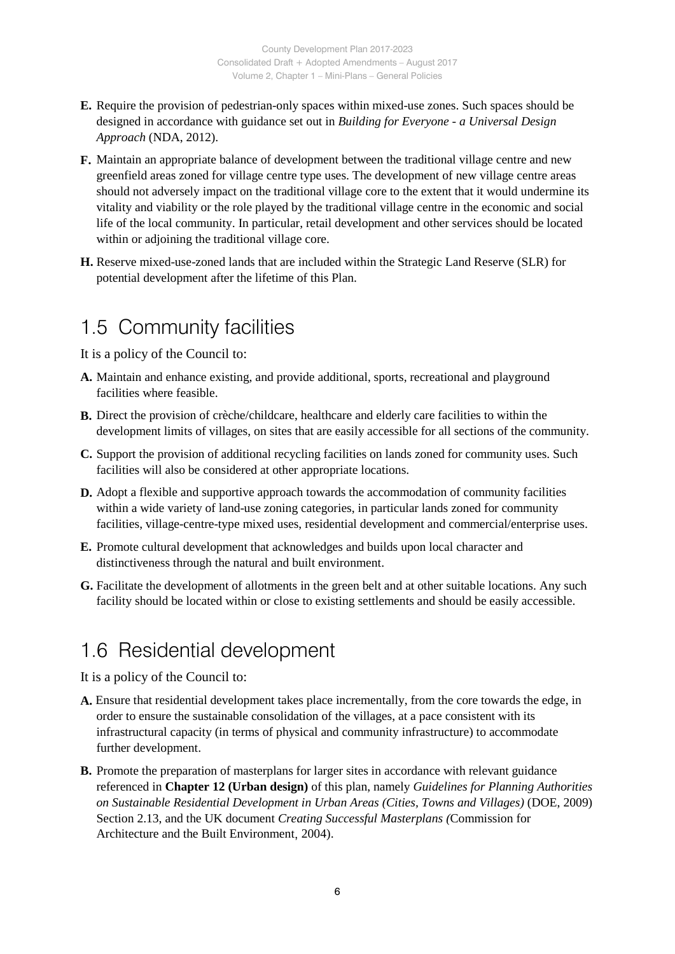- **E.** Require the provision of pedestrian-only spaces within mixed-use zones. Such spaces should be designed in accordance with guidance set out in *Building for Everyone - a Universal Design Approach* (NDA, 2012).
- **F.** Maintain an appropriate balance of development between the traditional village centre and new greenfield areas zoned for village centre type uses. The development of new village centre areas should not adversely impact on the traditional village core to the extent that it would undermine its vitality and viability or the role played by the traditional village centre in the economic and social life of the local community. In particular, retail development and other services should be located within or adjoining the traditional village core.
- **H.** Reserve mixed-use-zoned lands that are included within the Strategic Land Reserve (SLR) for potential development after the lifetime of this Plan.

## 1.5 Community facilities

It is a policy of the Council to:

- **A.** Maintain and enhance existing, and provide additional, sports, recreational and playground facilities where feasible.
- **B.** Direct the provision of crèche/childcare, healthcare and elderly care facilities to within the development limits of villages, on sites that are easily accessible for all sections of the community.
- **C.** Support the provision of additional recycling facilities on lands zoned for community uses. Such facilities will also be considered at other appropriate locations.
- **D.** Adopt a flexible and supportive approach towards the accommodation of community facilities within a wide variety of land-use zoning categories, in particular lands zoned for community facilities, village-centre-type mixed uses, residential development and commercial/enterprise uses.
- **E.** Promote cultural development that acknowledges and builds upon local character and distinctiveness through the natural and built environment.
- **G.** Facilitate the development of allotments in the green belt and at other suitable locations. Any such facility should be located within or close to existing settlements and should be easily accessible.

# 1.6 Residential development

- **A.** Ensure that residential development takes place incrementally, from the core towards the edge, in order to ensure the sustainable consolidation of the villages, at a pace consistent with its infrastructural capacity (in terms of physical and community infrastructure) to accommodate further development.
- **B.** Promote the preparation of masterplans for larger sites in accordance with relevant guidance referenced in **Chapter 12 (Urban design)** of this plan, namely *Guidelines for Planning Authorities on Sustainable Residential Development in Urban Areas (Cities, Towns and Villages)* (DOE, 2009) Section 2.13, and the UK document *Creating Successful Masterplans (*Commission for Architecture and the Built Environment, 2004).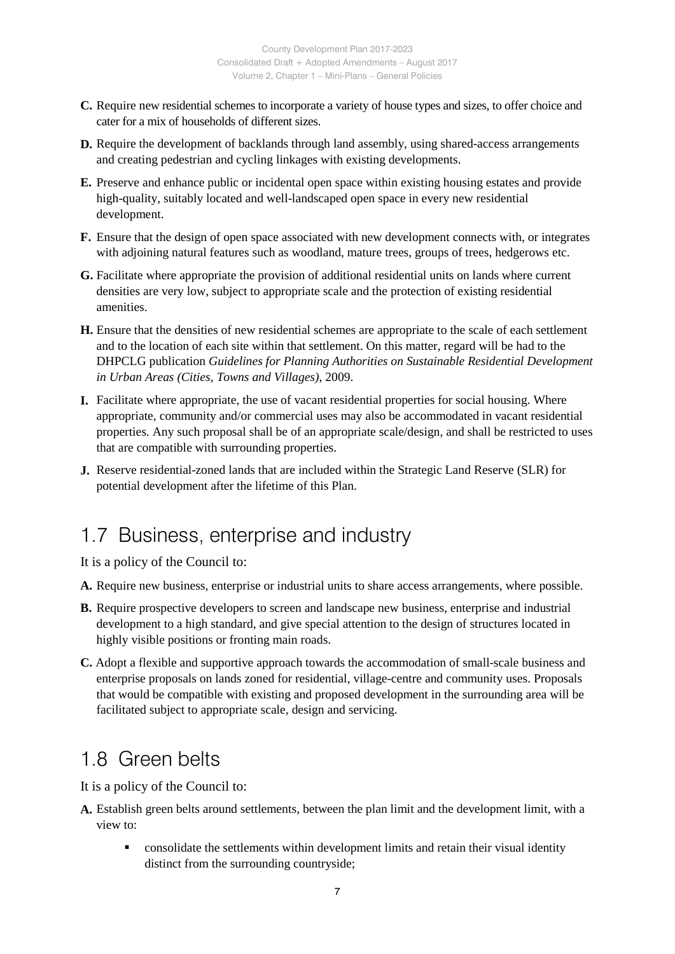- **C.** Require new residential schemes to incorporate a variety of house types and sizes, to offer choice and cater for a mix of households of different sizes.
- **D.** Require the development of backlands through land assembly, using shared-access arrangements and creating pedestrian and cycling linkages with existing developments.
- **E.** Preserve and enhance public or incidental open space within existing housing estates and provide high-quality, suitably located and well-landscaped open space in every new residential development.
- **F.** Ensure that the design of open space associated with new development connects with, or integrates with adjoining natural features such as woodland, mature trees, groups of trees, hedgerows etc.
- **G.** Facilitate where appropriate the provision of additional residential units on lands where current densities are very low, subject to appropriate scale and the protection of existing residential amenities.
- **H.** Ensure that the densities of new residential schemes are appropriate to the scale of each settlement and to the location of each site within that settlement. On this matter, regard will be had to the DHPCLG publication *Guidelines for Planning Authorities on Sustainable Residential Development in Urban Areas (Cities, Towns and Villages)*, 2009.
- **I.** Facilitate where appropriate, the use of vacant residential properties for social housing. Where appropriate, community and/or commercial uses may also be accommodated in vacant residential properties. Any such proposal shall be of an appropriate scale/design, and shall be restricted to uses that are compatible with surrounding properties.
- **J.** Reserve residential-zoned lands that are included within the Strategic Land Reserve (SLR) for potential development after the lifetime of this Plan.

## 1.7 Business, enterprise and industry

It is a policy of the Council to:

- **A.** Require new business, enterprise or industrial units to share access arrangements, where possible.
- **B.** Require prospective developers to screen and landscape new business, enterprise and industrial development to a high standard, and give special attention to the design of structures located in highly visible positions or fronting main roads.
- **C.** Adopt a flexible and supportive approach towards the accommodation of small-scale business and enterprise proposals on lands zoned for residential, village-centre and community uses. Proposals that would be compatible with existing and proposed development in the surrounding area will be facilitated subject to appropriate scale, design and servicing.

## 1.8 Green belts

- **A.** Establish green belts around settlements, between the plan limit and the development limit, with a view to:
	- consolidate the settlements within development limits and retain their visual identity distinct from the surrounding countryside;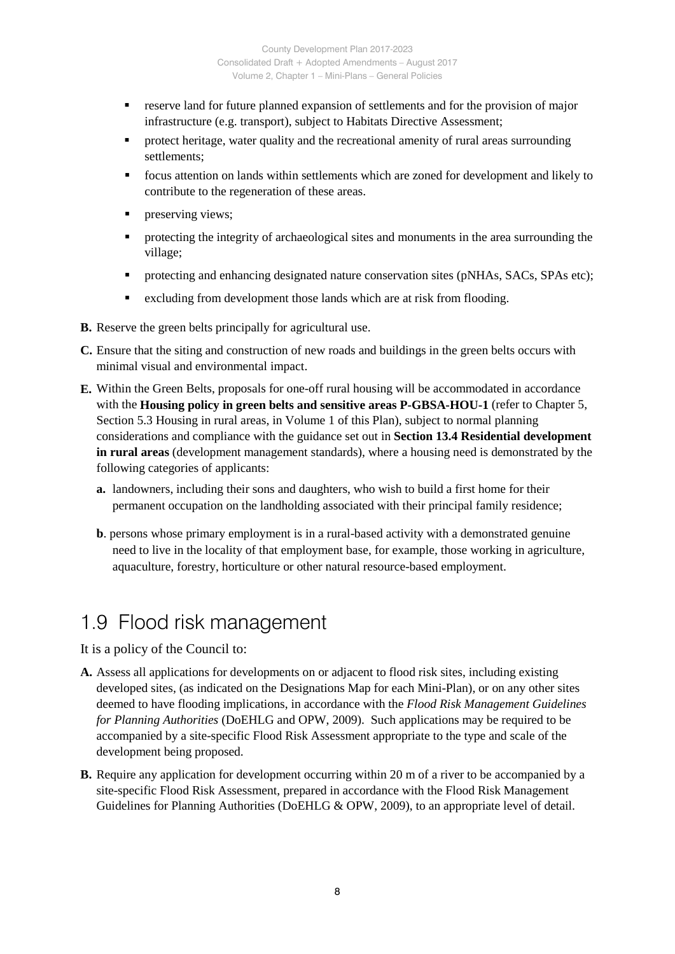- reserve land for future planned expansion of settlements and for the provision of major infrastructure (e.g. transport), subject to Habitats Directive Assessment;
- protect heritage, water quality and the recreational amenity of rural areas surrounding settlements;
- focus attention on lands within settlements which are zoned for development and likely to contribute to the regeneration of these areas.
- preserving views;
- **•** protecting the integrity of archaeological sites and monuments in the area surrounding the village;
- **•** protecting and enhancing designated nature conservation sites (pNHAs, SACs, SPAs etc);
- excluding from development those lands which are at risk from flooding.
- **B.** Reserve the green belts principally for agricultural use.
- **C.** Ensure that the siting and construction of new roads and buildings in the green belts occurs with minimal visual and environmental impact.
- **E.** Within the Green Belts, proposals for one-off rural housing will be accommodated in accordance with the **Housing policy in green belts and sensitive areas P-GBSA-HOU-1** (refer to Chapter 5, Section 5.3 Housing in rural areas, in Volume 1 of this Plan), subject to normal planning considerations and compliance with the guidance set out in **Section 13.4 Residential development in rural areas** (development management standards), where a housing need is demonstrated by the following categories of applicants:
	- **a.** landowners, including their sons and daughters, who wish to build a first home for their permanent occupation on the landholding associated with their principal family residence;
	- **b**. persons whose primary employment is in a rural-based activity with a demonstrated genuine need to live in the locality of that employment base, for example, those working in agriculture, aquaculture, forestry, horticulture or other natural resource-based employment.

## 1.9 Flood risk management

- **A.** Assess all applications for developments on or adjacent to flood risk sites, including existing developed sites, (as indicated on the Designations Map for each Mini-Plan), or on any other sites deemed to have flooding implications, in accordance with the *Flood Risk Management Guidelines for Planning Authorities* (DoEHLG and OPW, 2009). Such applications may be required to be accompanied by a site-specific Flood Risk Assessment appropriate to the type and scale of the development being proposed.
- **B.** Require any application for development occurring within 20 m of a river to be accompanied by a site-specific Flood Risk Assessment, prepared in accordance with the Flood Risk Management Guidelines for Planning Authorities (DoEHLG & OPW, 2009), to an appropriate level of detail.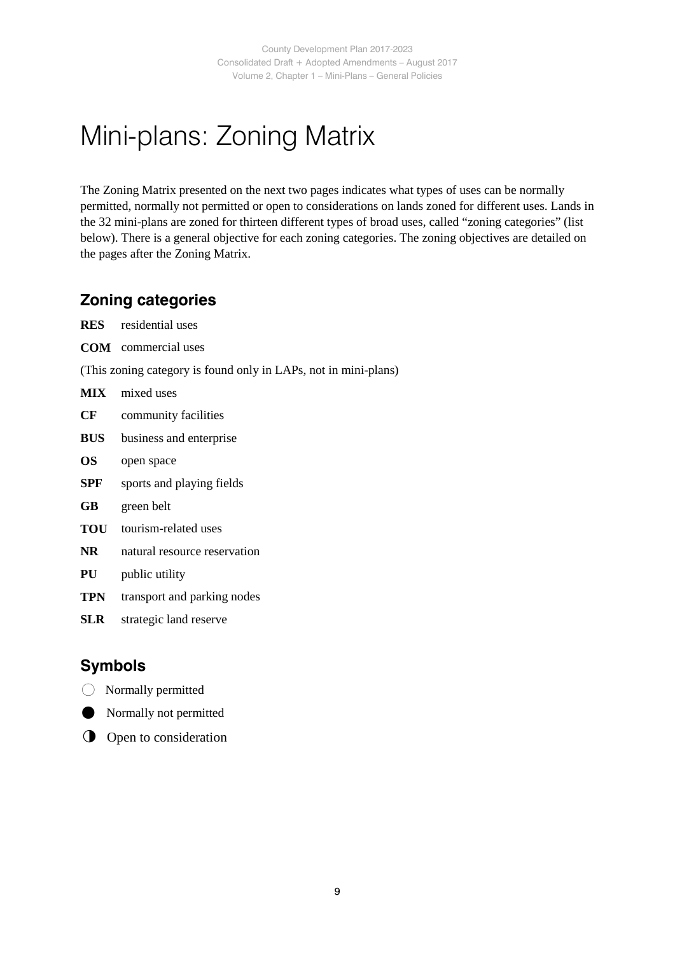# Mini-plans: Zoning Matrix

The Zoning Matrix presented on the next two pages indicates what types of uses can be normally permitted, normally not permitted or open to considerations on lands zoned for different uses. Lands in the 32 mini-plans are zoned for thirteen different types of broad uses, called "zoning categories" (list below). There is a general objective for each zoning categories. The zoning objectives are detailed on the pages after the Zoning Matrix.

### **Zoning categories**

- **RES** residential uses **COM** commercial uses
- (This zoning category is found only in LAPs, not in mini-plans)
- **MIX** mixed uses
- **CF** community facilities
- **BUS** business and enterprise
- **OS** open space
- **SPF** sports and playing fields
- **GB** green belt
- **TOU** tourism-related uses
- **NR** natural resource reservation
- **PU** public utility
- **TPN** transport and parking nodes
- **SLR** strategic land reserve

### **Symbols**

- Normally permitted
- Normally not permitted
- **O** Open to consideration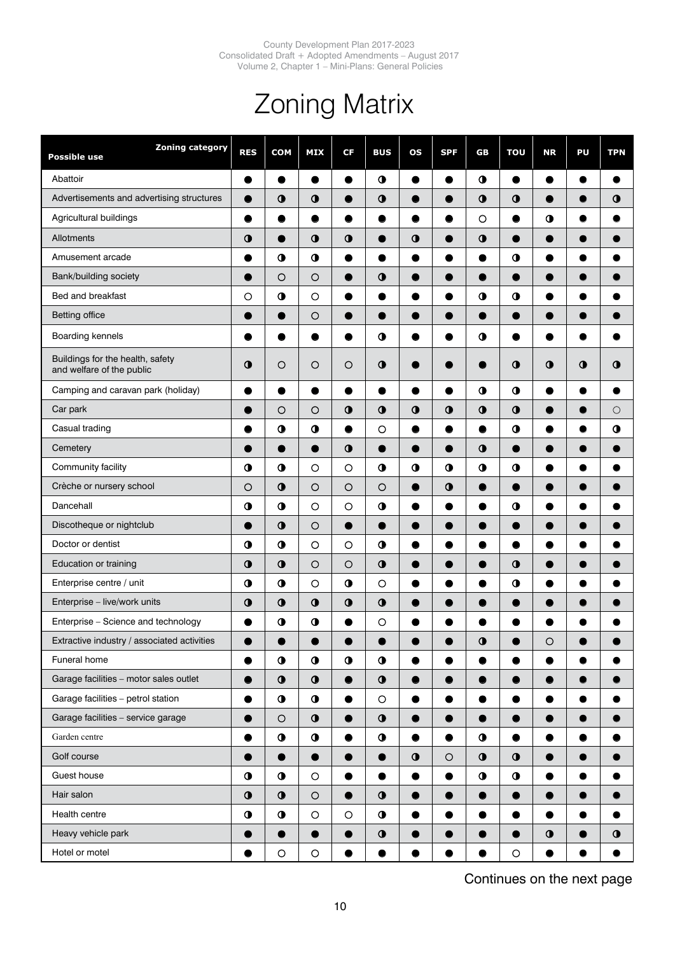# Zoning Matrix

| <b>Zoning category</b><br>Possible use                        | <b>RES</b>  | <b>COM</b>        | <b>MIX</b>  | CF          | <b>BUS</b>  | <b>OS</b>           | <b>SPF</b> | GB          | <b>TOU</b> | <b>NR</b> | PU          | <b>TPN</b> |
|---------------------------------------------------------------|-------------|-------------------|-------------|-------------|-------------|---------------------|------------|-------------|------------|-----------|-------------|------------|
| Abattoir                                                      | ●           | ●                 | ●           | ●           | $\bullet$   | $\bullet$           | $\bullet$  | $\bullet$   | $\bullet$  | ●         | $\bullet$   |            |
| Advertisements and advertising structures                     | $\bullet$   | $\bullet$         | $\mathbf 0$ | $\bullet$   | $\bullet$   | $\bullet$           | 0          | $\bullet$   | $\bullet$  | O         | 0           | $\bullet$  |
| Agricultural buildings                                        | 0           | $\bullet$         | ●           | ●           | 0           | $\bullet$           | 0          | $\circ$     | $\bullet$  | $\bullet$ |             | 0          |
| Allotments                                                    | $\bullet$   | $\bullet$         | $\mathbf 0$ | $\bullet$   | ●           | $\ddot{\mathbf{0}}$ | $\bullet$  | $\mathbf 0$ | Ð          | 0         | 0           |            |
| Amusement arcade                                              |             | $\bullet$         | $\bullet$   |             |             | 0                   | 0          | 0           | $\bullet$  | 0         |             |            |
| Bank/building society                                         |             | $\circ$           | $\circ$     |             | $\mathbf 0$ | ●                   | 0          |             | D          | O         |             |            |
| Bed and breakfast                                             | $\circ$     | $\mathbf 0$       | $\circ$     |             |             | ●                   | 0          | $\bullet$   | $\bullet$  | 0         |             |            |
| <b>Betting office</b>                                         |             | $\bullet$         | $\circ$     | $\bullet$   | ●           | $\bullet$           | $\bullet$  | ●           | ●          | ●         | $\bullet$   |            |
| Boarding kennels                                              |             | 0                 |             |             | $\bullet$   | $\bullet$           |            | $\bullet$   | ●          | ●         |             |            |
| Buildings for the health, safety<br>and welfare of the public | $\bullet$   | $\circ$           | $\circ$     | $\circ$     | $\mathbf 0$ |                     |            |             | $\bullet$  | $\bullet$ | $\mathbf 0$ | $\bullet$  |
| Camping and caravan park (holiday)                            | $\bullet$   | $\bullet$         | ●           |             | ●           | $\bullet$           | $\bullet$  | $\bullet$   | $\bullet$  | $\bullet$ | $\bullet$   |            |
| Car park                                                      | 0           | $\circ$           | $\circ$     | $\bullet$   | $\bullet$   | $\bullet$           | $\bullet$  | $\bullet$   | $\bullet$  | $\bullet$ | $\bullet$   | $\circ$    |
| Casual trading                                                |             | $\mathbf 0$       | $\mathbf 0$ | ●           | $\circ$     | $\bullet$           | $\bullet$  | $\bullet$   | $\bullet$  | $\bullet$ |             | $\bullet$  |
| Cemetery                                                      |             |                   | $\bullet$   | $\mathbf 0$ | ●           | $\bullet$           | $\bullet$  | $\bullet$   |            | Ð         |             |            |
| Community facility                                            | $\mathbf 0$ | $\mathbf 0$       | $\circ$     | $\circ$     | $\bullet$   | $\ddot{\mathbf{0}}$ | $\bullet$  | $\bullet$   | $\bullet$  |           |             |            |
| Crèche or nursery school                                      | $\circ$     | $\bullet$         | $\circ$     | $\circ$     | $\circ$     | $\bullet$           | $\bullet$  | Œ           |            |           |             |            |
| Dancehall                                                     | $\bullet$   | $\ddot{\text{o}}$ | $\circ$     | $\circ$     | $\bullet$   | $\bullet$           | $\bullet$  | ●           | $\bullet$  | ●         |             |            |
| Discotheque or nightclub                                      | C           | $\bullet$         | $\circ$     | ●           | ●           | $\bullet$           | $\bullet$  | 0           | ●          | O         |             |            |
| Doctor or dentist                                             | $\bullet$   | $\mathbf 0$       | $\circ$     | $\circ$     | $\bullet$   | $\bullet$           | 0          | 0           | $\bullet$  | $\bullet$ |             |            |
| Education or training                                         | $\bullet$   | $\mathbf 0$       | $\circ$     | $\circ$     | $\bullet$   | $\bullet$           | 0          |             | $\bullet$  | 0         |             |            |
| Enterprise centre / unit                                      | $\bullet$   | $\mathbf 0$       | $\circ$     | $\mathbf 0$ | $\circ$     | ●                   | O          | c           | $\bullet$  |           |             |            |
| Enterprise - live/work units                                  | $\bullet$   | $\bullet$         | $\mathbf 0$ | $\bullet$   | $\bullet$   | 0                   | O          |             |            |           |             |            |
| Enterprise - Science and technology                           |             | $\mathbf 0$       | $\mathbf 0$ |             | $\circ$     |                     |            |             |            |           |             |            |
| Extractive industry / associated activities                   |             |                   |             |             | ▲           |                     |            | $\mathbf 0$ |            | $\circ$   |             |            |
| Funeral home                                                  | $\bullet$   | $\bullet$         | $\bullet$   | $\bullet$   | $\bullet$   | $\bullet$           | $\bullet$  | $\bullet$   | $\bullet$  | $\bullet$ | $\bullet$   |            |
| Garage facilities - motor sales outlet                        | $\bullet$   | $\bullet$         | $\bullet$   | $\bullet$   | $\bullet$   | $\bullet$           | $\bullet$  | $\bullet$   | $\bullet$  | $\bullet$ | $\bullet$   |            |
| Garage facilities - petrol station                            |             | $\bullet$         | $\bullet$   |             | $\bigcirc$  | $\bullet$           | $\bullet$  |             |            | ●         |             |            |
| Garage facilities - service garage                            | $\bullet$   | $\bigcirc$        | $\bullet$   | D           | $\bullet$   | $\bullet$           | $\bullet$  |             | $\bullet$  | 0         |             |            |
| Garden centre                                                 | $\bullet$   | $\bullet$         | $\mathbf 0$ | ●           | $\bullet$   | $\bullet$           | $\bullet$  | $\bullet$   | $\bullet$  | $\bullet$ | $\bullet$   |            |
| Golf course                                                   | $\bullet$   | $\bullet$         | $\bullet$   | $\bullet$   | $\bullet$   | $\bullet$           | $\circ$    | $\bullet$   | $\bullet$  | $\bullet$ | $\bullet$   |            |
| Guest house                                                   | $\bullet$   | $\bullet$         | $\bigcirc$  | $\bullet$   | $\bullet$   | $\bullet$           | $\bullet$  | $\bullet$   | $\bullet$  | $\bullet$ | $\bullet$   |            |
| Hair salon                                                    | $\bullet$   | $\bullet$         | $\bigcirc$  | $\bullet$   | $\bullet$   | $\bullet$           | $\bullet$  | 0           | $\bullet$  | $\bullet$ | $\bullet$   |            |
| Health centre                                                 | $\bullet$   | $\bullet$         | $\bigcirc$  | $\bigcirc$  | $\bullet$   | $\bullet$           | $\bullet$  |             |            | $\bullet$ |             |            |
| Heavy vehicle park                                            | ●           | $\bullet$         | $\bullet$   |             | $\bullet$   | $\bullet$           | $\bullet$  | $\bullet$   | $\bullet$  | $\bullet$ | $\bullet$   | $\bullet$  |
| Hotel or motel                                                | $\bullet$   | $\circ$           | $\bigcirc$  |             |             | $\bullet$           | $\bullet$  | ●           | $\bigcirc$ | $\bullet$ | ●           | $\bullet$  |

Continues on the next page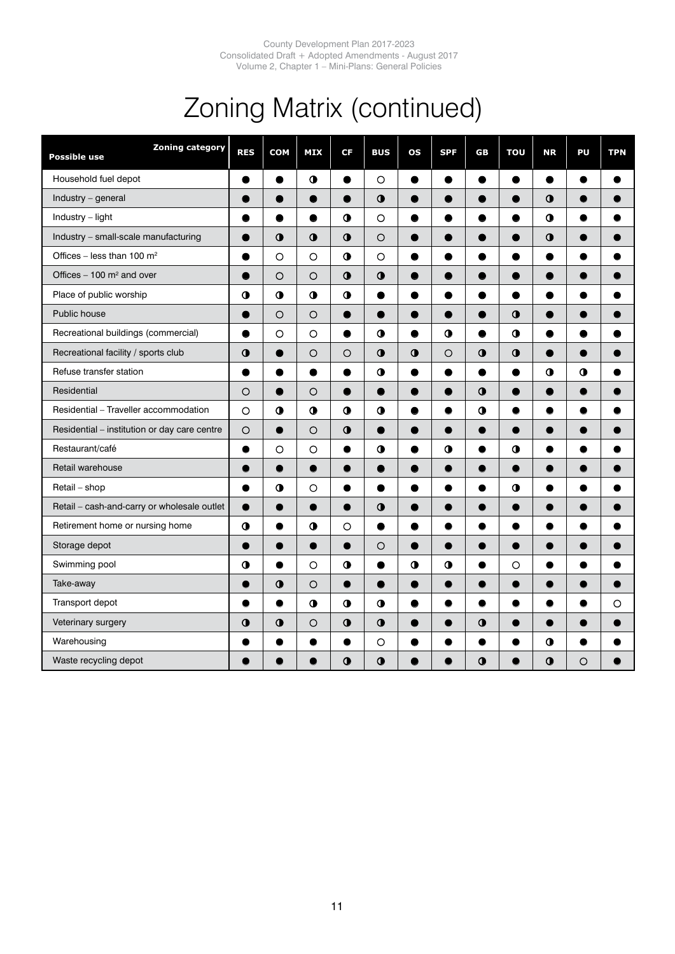# Zoning Matrix (continued)

| <b>Zoning category</b><br>Possible use       | <b>RES</b> | <b>COM</b> | <b>MIX</b>          | CF             | <b>BUS</b> | os        | <b>SPF</b> | GB          | TOU         | <b>NR</b>           | PU        | <b>TPN</b> |
|----------------------------------------------|------------|------------|---------------------|----------------|------------|-----------|------------|-------------|-------------|---------------------|-----------|------------|
| Household fuel depot                         | $\bullet$  | $\bullet$  | $\bullet$           | $\bullet$      | $\circ$    | $\bullet$ | $\bullet$  | $\bullet$   | $\bullet$   | $\bullet$           | $\bullet$ | 0          |
| Industry - general                           |            |            |                     |                | $\bullet$  |           | ●          | 0           |             | O                   |           |            |
| Industry - light                             |            | ●          | ●                   | $\bullet$      | $\circ$    | ●         | ●          | 0           |             | $\ddot{\mathbf{0}}$ |           |            |
| Industry - small-scale manufacturing         | ●          | $\bullet$  | $\bullet$           | $\bullet$      | $\circ$    | 0         | $\bullet$  | $\bullet$   |             | $\bullet$           |           |            |
| Offices – less than 100 $m^2$                |            | $\circ$    | $\circ$             | $\bullet$      | O          |           | 0          |             |             |                     |           |            |
| Offices $-100$ m <sup>2</sup> and over       |            | $\circ$    | $\circ$             | $\bullet$      | $\bullet$  | ●         | ●          | ●           |             | O                   |           |            |
| Place of public worship                      | $\bullet$  | $\bullet$  | $\bullet$           | $\bullet$      | ●          | $\bullet$ | ●          | $\bullet$   | ●           | $\bullet$           | ●         |            |
| Public house                                 |            | $\circ$    | $\circ$             | $\bullet$      |            |           | $\bullet$  | ●           | $\mathbf 0$ | 0                   |           |            |
| Recreational buildings (commercial)          |            | O          | O                   | ●              | $\bullet$  |           | $\bullet$  |             | $\bullet$   |                     |           |            |
| Recreational facility / sports club          | $\bullet$  | $\bullet$  | $\circ$             | O              | $\bullet$  | $\bullet$ | $\circ$    | $\bullet$   | $\bullet$   | $\bullet$           | ●         |            |
| Refuse transfer station                      |            |            | 0                   | 0              | $\bullet$  |           |            | 0           |             | $\bullet$           | $\bullet$ |            |
| Residential                                  | O          |            | $\circ$             |                |            |           |            | $\mathbf 0$ |             |                     |           |            |
| Residential - Traveller accommodation        | $\circ$    | $\bullet$  | $\ddot{\mathbf{0}}$ | $\bullet$      | $\bullet$  | ●         | $\bullet$  | $\mathbf 0$ | ●           | 0                   | ●         |            |
| Residential - institution or day care centre | $\circ$    | ●          | $\circ$             | $\bullet$      |            |           | $\bullet$  |             |             | $\bullet$           |           |            |
| Restaurant/café                              | ●          | $\circ$    | $\circ$             | ●              | 0          |           | $\bullet$  | $\bullet$   | $\bullet$   |                     |           |            |
| Retail warehouse                             | 0          | $\bullet$  | $\bullet$           | $\bullet$      | $\bullet$  | ●         | $\bullet$  | $\bullet$   | $\bullet$   | 0                   | 0         |            |
| Retail - shop                                |            | $\bullet$  | $\circ$             |                |            |           | ●          | $\bullet$   | $\mathbf 0$ |                     |           |            |
| Retail - cash-and-carry or wholesale outlet  |            |            |                     | $\blacksquare$ | $\bullet$  |           |            |             |             |                     |           |            |
| Retirement home or nursing home              | $\bullet$  | ●          | $\ddot{\mathbf{0}}$ | O              | $\bullet$  |           | $\bullet$  | $\bullet$   |             |                     | 0         |            |
| Storage depot                                |            | 0          | $\bullet$           | $\bullet$      | O          | $\bullet$ | $\bullet$  | $\bullet$   |             | O                   |           |            |
| Swimming pool                                | $\bullet$  |            | $\circ$             | $\bullet$      |            | $\bullet$ | $\bullet$  | 6           | $\circ$     |                     |           |            |
| Take-away                                    | ●          | $\bullet$  | $\circ$             | $\bullet$      | $\bullet$  | $\bullet$ | $\bullet$  | $\bullet$   | $\bullet$   | 0                   | 0         |            |
| Transport depot                              |            | $\bullet$  | $\bullet$           | $\bullet$      | $\bullet$  | $\bullet$ | $\bullet$  | $\bullet$   |             | 0                   |           | O          |
| Veterinary surgery                           | $\bullet$  | $\bullet$  | $\circ$             | $\bullet$      | $\bullet$  |           |            | $\mathbf 0$ |             |                     |           |            |
| Warehousing                                  |            |            | O                   |                | $\circ$    |           | 0          | $\bullet$   | 0           | $\ddot{\mathbf{0}}$ |           |            |
| Waste recycling depot                        |            |            |                     | $\bullet$      | $\bullet$  |           |            | $\bullet$   |             | $\bullet$           | $\circ$   |            |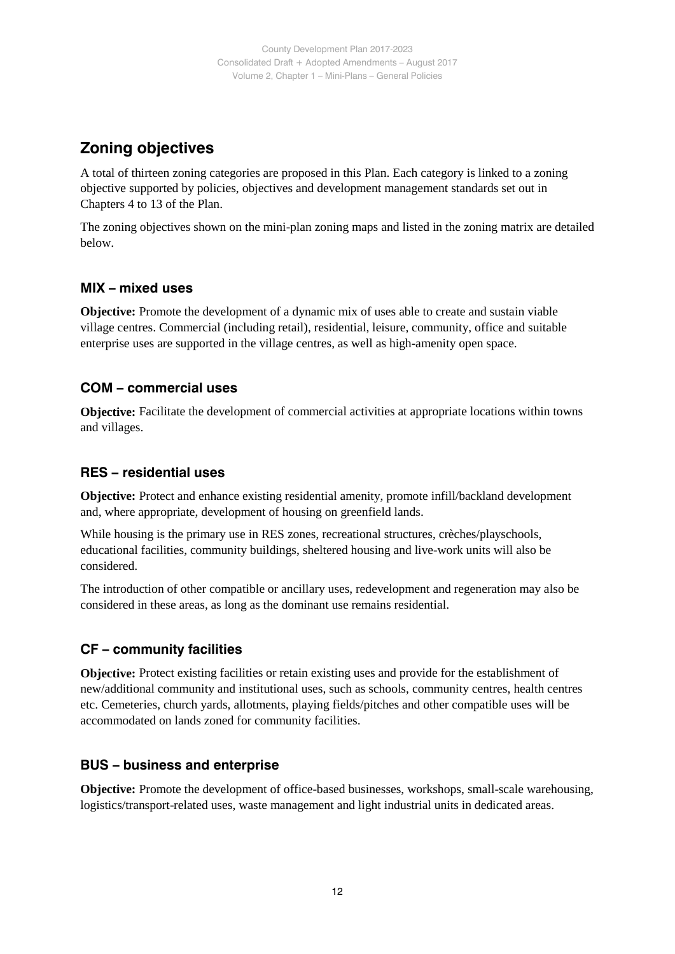### **Zoning objectives**

A total of thirteen zoning categories are proposed in this Plan. Each category is linked to a zoning objective supported by policies, objectives and development management standards set out in Chapters 4 to 13 of the Plan.

The zoning objectives shown on the mini-plan zoning maps and listed in the zoning matrix are detailed below.

### **MIX – mixed uses**

**Objective:** Promote the development of a dynamic mix of uses able to create and sustain viable village centres. Commercial (including retail), residential, leisure, community, office and suitable enterprise uses are supported in the village centres, as well as high-amenity open space.

### **COM – commercial uses**

**Objective:** Facilitate the development of commercial activities at appropriate locations within towns and villages.

#### **RES – residential uses**

**Objective:** Protect and enhance existing residential amenity, promote infill/backland development and, where appropriate, development of housing on greenfield lands.

While housing is the primary use in RES zones, recreational structures, crèches/playschools, educational facilities, community buildings, sheltered housing and live-work units will also be considered.

The introduction of other compatible or ancillary uses, redevelopment and regeneration may also be considered in these areas, as long as the dominant use remains residential.

### **CF – community facilities**

**Objective:** Protect existing facilities or retain existing uses and provide for the establishment of new/additional community and institutional uses, such as schools, community centres, health centres etc. Cemeteries, church yards, allotments, playing fields/pitches and other compatible uses will be accommodated on lands zoned for community facilities.

#### **BUS – business and enterprise**

**Objective:** Promote the development of office-based businesses, workshops, small-scale warehousing, logistics/transport-related uses, waste management and light industrial units in dedicated areas.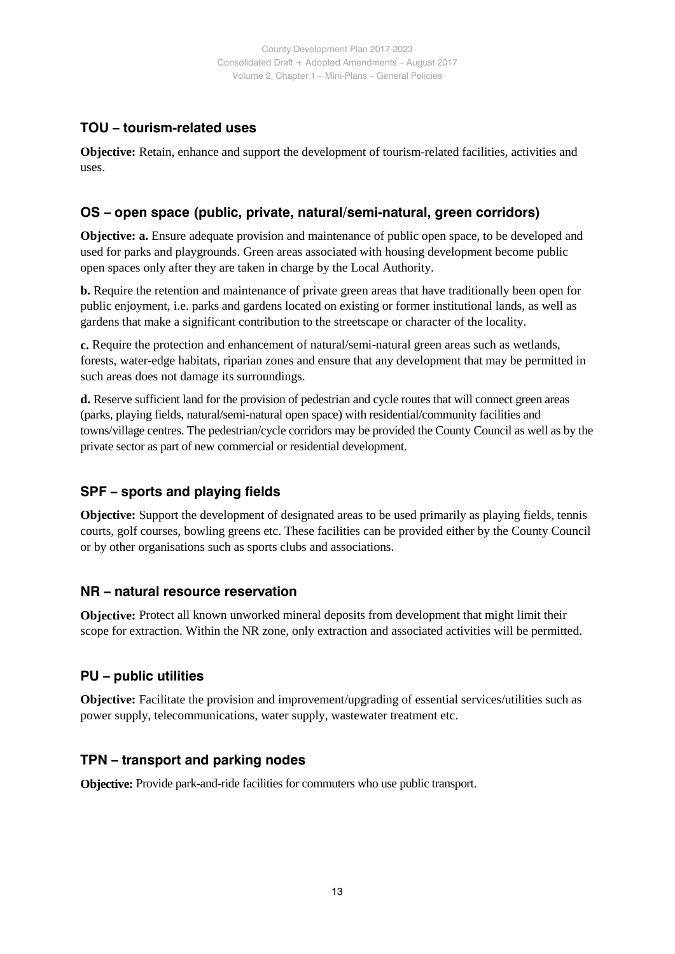### **TOU – tourism-related uses**

**Objective:** Retain, enhance and support the development of tourism-related facilities, activities and uses.

### **OS – open space (public, private, natural/semi-natural, green corridors)**

**Objective: a.** Ensure adequate provision and maintenance of public open space, to be developed and used for parks and playgrounds. Green areas associated with housing development become public open spaces only after they are taken in charge by the Local Authority.

**b.** Require the retention and maintenance of private green areas that have traditionally been open for public enjoyment, i.e. parks and gardens located on existing or former institutional lands, as well as gardens that make a significant contribution to the streetscape or character of the locality.

**c.** Require the protection and enhancement of natural/semi-natural green areas such as wetlands, forests, water-edge habitats, riparian zones and ensure that any development that may be permitted in such areas does not damage its surroundings.

**d.** Reserve sufficient land for the provision of pedestrian and cycle routes that will connect green areas (parks, playing fields, natural/semi-natural open space) with residential/community facilities and towns/village centres. The pedestrian/cycle corridors may be provided the County Council as well as by the private sector as part of new commercial or residential development.

### **SPF – sports and playing fields**

**Objective:** Support the development of designated areas to be used primarily as playing fields, tennis courts, golf courses, bowling greens etc. These facilities can be provided either by the County Council or by other organisations such as sports clubs and associations.

### **NR – natural resource reservation**

**Objective:** Protect all known unworked mineral deposits from development that might limit their scope for extraction. Within the NR zone, only extraction and associated activities will be permitted.

### **PU – public utilities**

**Objective:** Facilitate the provision and improvement/upgrading of essential services/utilities such as power supply, telecommunications, water supply, wastewater treatment etc.

### **TPN – transport and parking nodes**

**Objective:** Provide park-and-ride facilities for commuters who use public transport.